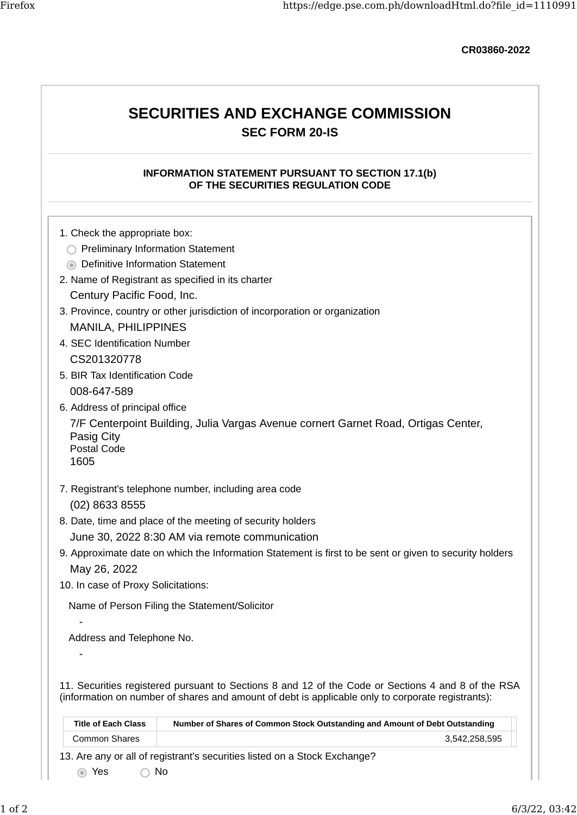CR03860-2022

## SECURITIES AND EXCHANGE COMMISSION SEC FORM 20-IS

### INFORMATION STATEMENT PURSUANT TO SECTION 17.1(b) OF THE SECURITIES REGULATION CODE

- 1. Check the appropriate box:
- **C** Preliminary Information Statement
- **O** Definitive Information Statement
- 2. Name of Registrant as specified in its charter Century Pacific Food, Inc.
- 3. Province, country or other jurisdiction of incorporation or organization MANILA, PHILIPPINES
- 4. SEC Identification Number CS201320778
- 5. BIR Tax Identification Code 008-647-589
- 6. Address of principal office

7/F Centerpoint Building, Julia Vargas Avenue cornert Garnet Road, Ortigas Center, Pasig City Postal Code

1605

-

-

- 7. Registrant's telephone number, including area code (02) 8633 8555
- 8. Date, time and place of the meeting of security holders June 30, 2022 8:30 AM via remote communication
- 9. Approximate date on which the Information Statement is first to be sent or given to security holders May 26, 2022
- 10. In case of Proxy Solicitations:

Name of Person Filing the Statement/Solicitor

Address and Telephone No.

11. Securities registered pursuant to Sections 8 and 12 of the Code or Sections 4 and 8 of the RSA (information on number of shares and amount of debt is applicable only to corporate registrants):

| <b>Title of Each Class</b> | Number of Shares of Common Stock Outstanding and Amount of Debt Outstanding |  |
|----------------------------|-----------------------------------------------------------------------------|--|
| Common Shares              | 3.542.258.595                                                               |  |
|                            | 3. Are any or all of registrant's securities listed on a Stock Exchange?    |  |

13. Are any or all of registrant's securities listed on a Stock Exchange?

Yes No